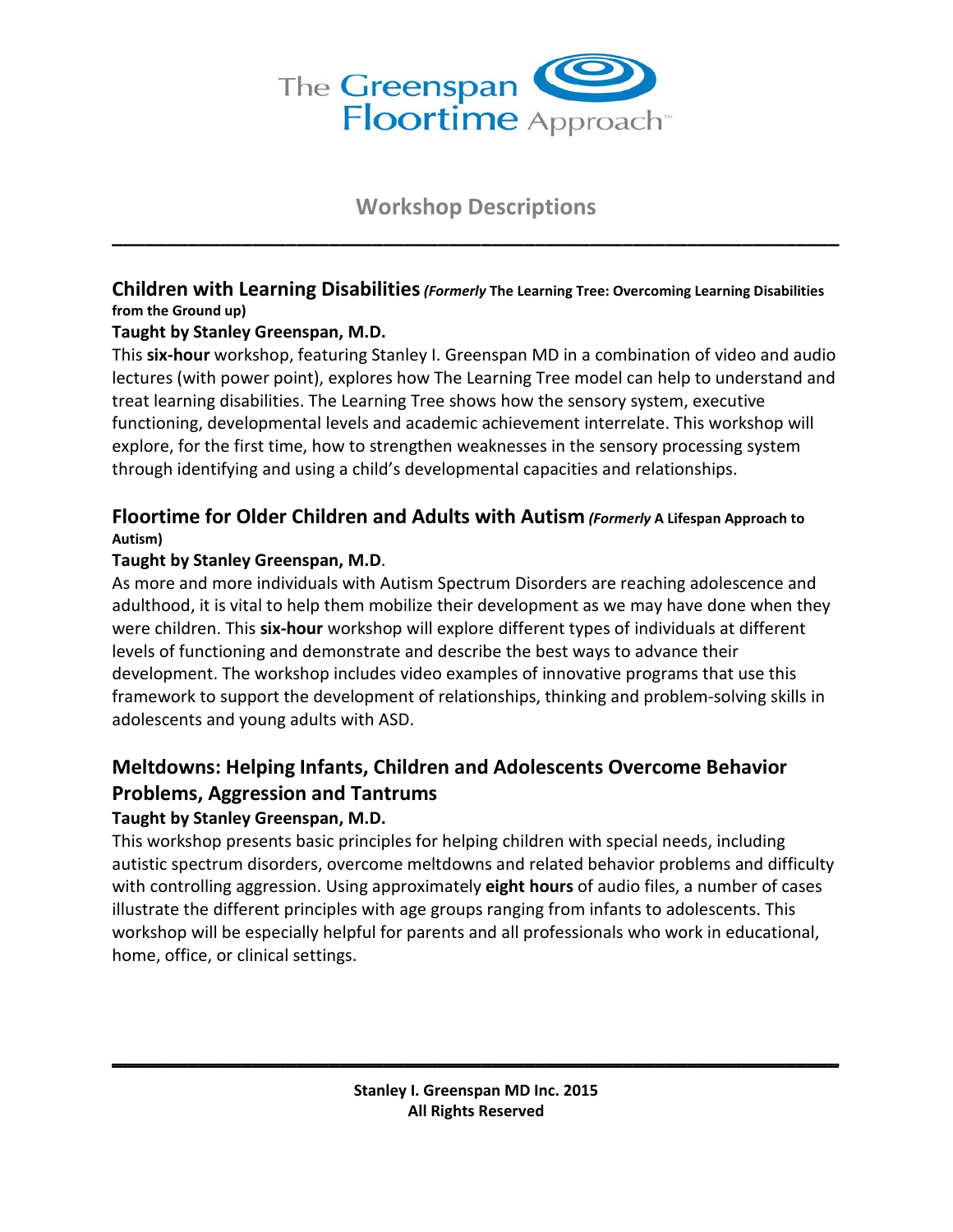

# **Workshop Descriptions \_\_\_\_\_\_\_\_\_\_\_\_\_\_\_\_\_\_\_\_\_\_\_\_\_\_\_\_\_\_\_\_\_\_\_\_\_\_\_\_\_\_\_\_\_\_\_\_\_\_\_\_\_\_\_\_\_\_\_\_\_\_\_\_\_\_\_**

## **Children with Learning Disabilities***(Formerly* **The Learning Tree: Overcoming Learning Disabilities from the Ground up)**

#### **Taught by Stanley Greenspan, M.D.**

This **six-hour** workshop, featuring Stanley I. Greenspan MD in a combination of video and audio lectures (with power point), explores how The Learning Tree model can help to understand and treat learning disabilities. The Learning Tree shows how the sensory system, executive functioning, developmental levels and academic achievement interrelate. This workshop will explore, for the first time, how to strengthen weaknesses in the sensory processing system through identifying and using a child's developmental capacities and relationships.

## **Floortime for Older Children and Adults with Autism** *(Formerly* **A Lifespan Approach to Autism)**

#### **Taught by Stanley Greenspan, M.D**.

As more and more individuals with Autism Spectrum Disorders are reaching adolescence and adulthood, it is vital to help them mobilize their development as we may have done when they were children. This **six-hour** workshop will explore different types of individuals at different levels of functioning and demonstrate and describe the best ways to advance their development. The workshop includes video examples of innovative programs that use this framework to support the development of relationships, thinking and problem-solving skills in adolescents and young adults with ASD.

## **Meltdowns: Helping Infants, Children and Adolescents Overcome Behavior Problems, Aggression and Tantrums**

## **Taught by Stanley Greenspan, M.D.**

This workshop presents basic principles for helping children with special needs, including autistic spectrum disorders, overcome meltdowns and related behavior problems and difficulty with controlling aggression. Using approximately **eight hours** of audio files, a number of cases illustrate the different principles with age groups ranging from infants to adolescents. This workshop will be especially helpful for parents and all professionals who work in educational, home, office, or clinical settings.

**\_\_\_\_\_\_\_\_\_\_\_\_\_\_\_\_\_\_\_\_\_\_\_\_\_\_\_\_\_\_\_\_\_\_\_\_\_\_\_\_\_\_\_\_\_\_\_\_\_\_\_\_\_\_\_\_\_\_\_\_\_\_\_\_\_\_\_**